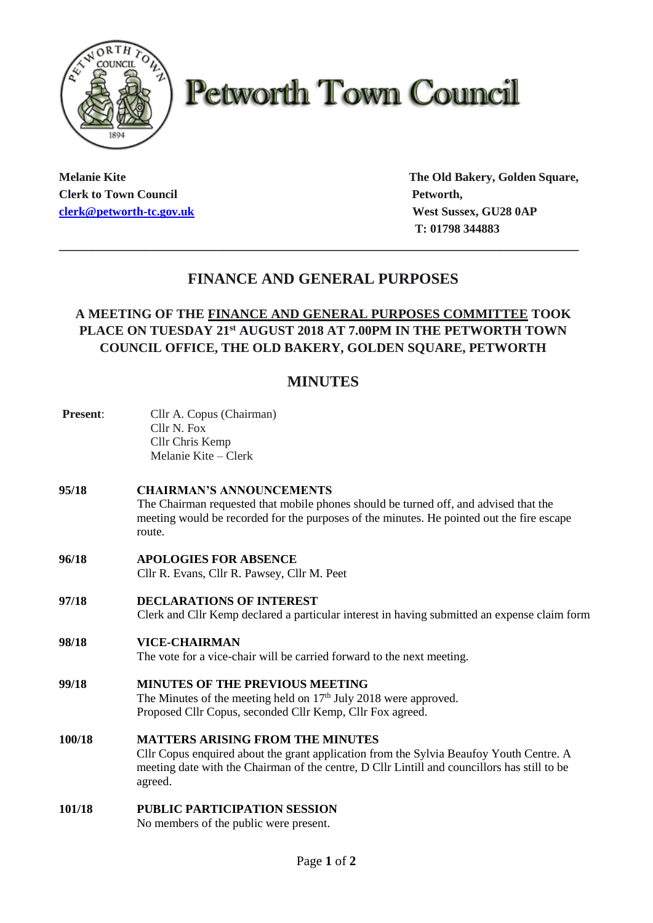

# **Petworth Town Council**

**Clerk to Town Council Petworth, Petworth, [clerk@petworth-tc.gov.uk](mailto:clerk@petworth-tc.gov.uk) West Sussex, GU28 0AP**

**Melanie Kite The Old Bakery, Golden Square, T: 01798 344883**

## **FINANCE AND GENERAL PURPOSES**

**\_\_\_\_\_\_\_\_\_\_\_\_\_\_\_\_\_\_\_\_\_\_\_\_\_\_\_\_\_\_\_\_\_\_\_\_\_\_\_\_\_\_\_\_\_\_\_\_\_\_\_\_\_\_\_\_\_\_\_\_\_\_\_\_\_\_\_\_\_\_\_\_\_\_\_\_\_\_\_**

### **A MEETING OF THE FINANCE AND GENERAL PURPOSES COMMITTEE TOOK PLACE ON TUESDAY 21 st AUGUST 2018 AT 7.00PM IN THE PETWORTH TOWN COUNCIL OFFICE, THE OLD BAKERY, GOLDEN SQUARE, PETWORTH**

## **MINUTES**

| <b>Present:</b> | Cllr A. Copus (Chairman)<br>Cllr N. Fox<br>Cllr Chris Kemp<br>Melanie Kite – Clerk                                                                                                                                                            |
|-----------------|-----------------------------------------------------------------------------------------------------------------------------------------------------------------------------------------------------------------------------------------------|
| 95/18           | <b>CHAIRMAN'S ANNOUNCEMENTS</b><br>The Chairman requested that mobile phones should be turned off, and advised that the<br>meeting would be recorded for the purposes of the minutes. He pointed out the fire escape<br>route.                |
| 96/18           | <b>APOLOGIES FOR ABSENCE</b><br>Cllr R. Evans, Cllr R. Pawsey, Cllr M. Peet                                                                                                                                                                   |
| 97/18           | <b>DECLARATIONS OF INTEREST</b><br>Clerk and Cllr Kemp declared a particular interest in having submitted an expense claim form                                                                                                               |
| 98/18           | <b>VICE-CHAIRMAN</b><br>The vote for a vice-chair will be carried forward to the next meeting.                                                                                                                                                |
| 99/18           | <b>MINUTES OF THE PREVIOUS MEETING</b><br>The Minutes of the meeting held on $17th$ July 2018 were approved.<br>Proposed Cllr Copus, seconded Cllr Kemp, Cllr Fox agreed.                                                                     |
| 100/18          | <b>MATTERS ARISING FROM THE MINUTES</b><br>Cllr Copus enquired about the grant application from the Sylvia Beaufoy Youth Centre. A<br>meeting date with the Chairman of the centre, D Cllr Lintill and councillors has still to be<br>agreed. |
| 101/18          | <b>PUBLIC PARTICIPATION SESSION</b><br>No members of the public were present.                                                                                                                                                                 |